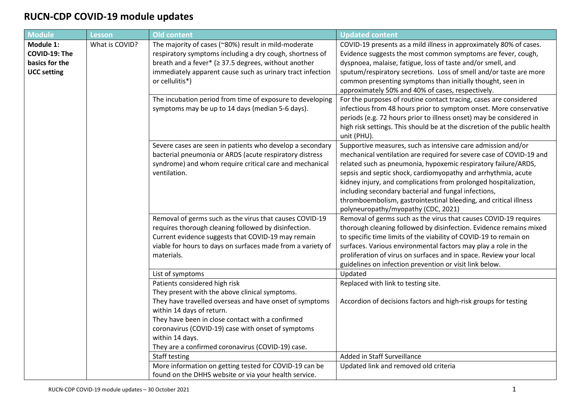## **RUCN-CDP COVID-19 module updates**

| <b>Module</b>                                                      | <b>Lesson</b>  | <b>Old content</b>                                                                                                                                                                                                                                                     | <b>Updated content</b>                                                                                                                                                                                                                                                                                                                                                                                                                                                                                        |
|--------------------------------------------------------------------|----------------|------------------------------------------------------------------------------------------------------------------------------------------------------------------------------------------------------------------------------------------------------------------------|---------------------------------------------------------------------------------------------------------------------------------------------------------------------------------------------------------------------------------------------------------------------------------------------------------------------------------------------------------------------------------------------------------------------------------------------------------------------------------------------------------------|
| Module 1:<br>COVID-19: The<br>basics for the<br><b>UCC setting</b> | What is COVID? | The majority of cases (~80%) result in mild-moderate<br>respiratory symptoms including a dry cough, shortness of<br>breath and a fever* ( $\geq$ 37.5 degrees, without another<br>immediately apparent cause such as urinary tract infection<br>or cellulitis*)        | COVID-19 presents as a mild illness in approximately 80% of cases.<br>Evidence suggests the most common symptoms are fever, cough,<br>dyspnoea, malaise, fatigue, loss of taste and/or smell, and<br>sputum/respiratory secretions. Loss of smell and/or taste are more<br>common presenting symptoms than initially thought, seen in<br>approximately 50% and 40% of cases, respectively.                                                                                                                    |
|                                                                    |                | The incubation period from time of exposure to developing<br>symptoms may be up to 14 days (median 5-6 days).                                                                                                                                                          | For the purposes of routine contact tracing, cases are considered<br>infectious from 48 hours prior to symptom onset. More conservative<br>periods (e.g. 72 hours prior to illness onset) may be considered in<br>high risk settings. This should be at the discretion of the public health<br>unit (PHU).                                                                                                                                                                                                    |
|                                                                    |                | Severe cases are seen in patients who develop a secondary<br>bacterial pneumonia or ARDS (acute respiratory distress<br>syndrome) and whom require critical care and mechanical<br>ventilation.                                                                        | Supportive measures, such as intensive care admission and/or<br>mechanical ventilation are required for severe case of COVID-19 and<br>related such as pneumonia, hypoxemic respiratory failure/ARDS,<br>sepsis and septic shock, cardiomyopathy and arrhythmia, acute<br>kidney injury, and complications from prolonged hospitalization,<br>including secondary bacterial and fungal infections,<br>thromboembolism, gastrointestinal bleeding, and critical illness<br>polyneuropathy/myopathy (CDC, 2021) |
|                                                                    |                | Removal of germs such as the virus that causes COVID-19<br>requires thorough cleaning followed by disinfection.<br>Current evidence suggests that COVID-19 may remain<br>viable for hours to days on surfaces made from a variety of<br>materials.                     | Removal of germs such as the virus that causes COVID-19 requires<br>thorough cleaning followed by disinfection. Evidence remains mixed<br>to specific time limits of the viability of COVID-19 to remain on<br>surfaces. Various environmental factors may play a role in the<br>proliferation of virus on surfaces and in space. Review your local<br>guidelines on infection prevention or visit link below.                                                                                                |
|                                                                    |                | List of symptoms                                                                                                                                                                                                                                                       | Updated                                                                                                                                                                                                                                                                                                                                                                                                                                                                                                       |
|                                                                    |                | Patients considered high risk<br>They present with the above clinical symptoms.                                                                                                                                                                                        | Replaced with link to testing site.                                                                                                                                                                                                                                                                                                                                                                                                                                                                           |
|                                                                    |                | They have travelled overseas and have onset of symptoms<br>within 14 days of return.<br>They have been in close contact with a confirmed<br>coronavirus (COVID-19) case with onset of symptoms<br>within 14 days.<br>They are a confirmed coronavirus (COVID-19) case. | Accordion of decisions factors and high-risk groups for testing                                                                                                                                                                                                                                                                                                                                                                                                                                               |
|                                                                    |                | Staff testing                                                                                                                                                                                                                                                          | Added in Staff Surveillance                                                                                                                                                                                                                                                                                                                                                                                                                                                                                   |
|                                                                    |                | More information on getting tested for COVID-19 can be<br>found on the DHHS website or via your health service.                                                                                                                                                        | Updated link and removed old criteria                                                                                                                                                                                                                                                                                                                                                                                                                                                                         |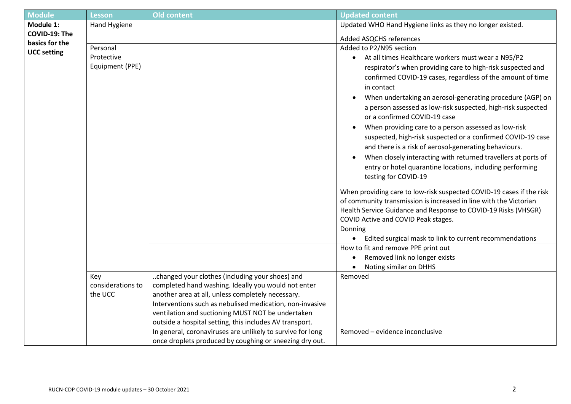| <b>Module</b>                                | <b>Lesson</b>                | <b>Old content</b>                                                                                       | <b>Updated content</b>                                                                                                              |
|----------------------------------------------|------------------------------|----------------------------------------------------------------------------------------------------------|-------------------------------------------------------------------------------------------------------------------------------------|
| Module 1:<br>COVID-19: The<br>basics for the | Hand Hygiene                 |                                                                                                          | Updated WHO Hand Hygiene links as they no longer existed.                                                                           |
|                                              |                              |                                                                                                          | Added ASQCHS references                                                                                                             |
|                                              | Personal                     |                                                                                                          | Added to P2/N95 section                                                                                                             |
| <b>UCC setting</b>                           | Protective                   |                                                                                                          | • At all times Healthcare workers must wear a N95/P2                                                                                |
|                                              | Equipment (PPE)              |                                                                                                          | respirator's when providing care to high-risk suspected and                                                                         |
|                                              |                              |                                                                                                          | confirmed COVID-19 cases, regardless of the amount of time                                                                          |
|                                              |                              |                                                                                                          | in contact                                                                                                                          |
|                                              |                              |                                                                                                          | When undertaking an aerosol-generating procedure (AGP) on                                                                           |
|                                              |                              |                                                                                                          | a person assessed as low-risk suspected, high-risk suspected                                                                        |
|                                              |                              |                                                                                                          | or a confirmed COVID-19 case                                                                                                        |
|                                              |                              |                                                                                                          | When providing care to a person assessed as low-risk                                                                                |
|                                              |                              |                                                                                                          | suspected, high-risk suspected or a confirmed COVID-19 case                                                                         |
|                                              |                              |                                                                                                          | and there is a risk of aerosol-generating behaviours.<br>When closely interacting with returned travellers at ports of              |
|                                              |                              |                                                                                                          | entry or hotel quarantine locations, including performing                                                                           |
|                                              |                              |                                                                                                          | testing for COVID-19                                                                                                                |
|                                              |                              |                                                                                                          |                                                                                                                                     |
|                                              |                              |                                                                                                          | When providing care to low-risk suspected COVID-19 cases if the risk                                                                |
|                                              |                              |                                                                                                          | of community transmission is increased in line with the Victorian<br>Health Service Guidance and Response to COVID-19 Risks (VHSGR) |
|                                              |                              |                                                                                                          | COVID Active and COVID Peak stages.                                                                                                 |
|                                              |                              |                                                                                                          | Donning                                                                                                                             |
|                                              |                              |                                                                                                          | Edited surgical mask to link to current recommendations                                                                             |
|                                              |                              |                                                                                                          | How to fit and remove PPE print out                                                                                                 |
|                                              |                              |                                                                                                          | Removed link no longer exists                                                                                                       |
|                                              |                              |                                                                                                          | Noting similar on DHHS                                                                                                              |
|                                              | Key                          | changed your clothes (including your shoes) and                                                          | Removed                                                                                                                             |
|                                              | considerations to<br>the UCC | completed hand washing. Ideally you would not enter<br>another area at all, unless completely necessary. |                                                                                                                                     |
|                                              |                              | Interventions such as nebulised medication, non-invasive                                                 |                                                                                                                                     |
|                                              |                              | ventilation and suctioning MUST NOT be undertaken                                                        |                                                                                                                                     |
|                                              |                              | outside a hospital setting, this includes AV transport.                                                  |                                                                                                                                     |
|                                              |                              | In general, coronaviruses are unlikely to survive for long                                               | Removed - evidence inconclusive                                                                                                     |
|                                              |                              | once droplets produced by coughing or sneezing dry out.                                                  |                                                                                                                                     |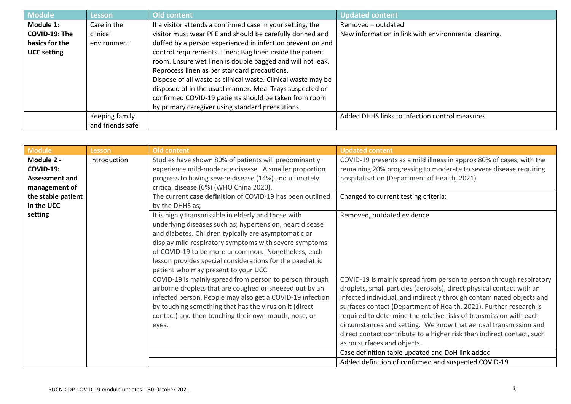| <b>Module</b>      | Lesson           | <b>Old content</b>                                            | <b>Updated content</b>                               |
|--------------------|------------------|---------------------------------------------------------------|------------------------------------------------------|
| Module 1:          | Care in the      | If a visitor attends a confirmed case in your setting, the    | Removed – outdated                                   |
| COVID-19: The      | clinical         | visitor must wear PPE and should be carefully donned and      | New information in link with environmental cleaning. |
| basics for the     | environment      | doffed by a person experienced in infection prevention and    |                                                      |
| <b>UCC setting</b> |                  | control requirements. Linen; Bag linen inside the patient     |                                                      |
|                    |                  | room. Ensure wet linen is double bagged and will not leak.    |                                                      |
|                    |                  | Reprocess linen as per standard precautions.                  |                                                      |
|                    |                  | Dispose of all waste as clinical waste. Clinical waste may be |                                                      |
|                    |                  | disposed of in the usual manner. Meal Trays suspected or      |                                                      |
|                    |                  | confirmed COVID-19 patients should be taken from room         |                                                      |
|                    |                  | by primary caregiver using standard precautions.              |                                                      |
|                    | Keeping family   |                                                               | Added DHHS links to infection control measures.      |
|                    | and friends safe |                                                               |                                                      |

| Module 2 -            |              |                                                                                                                                                                                                                                                                                                                                                                                               | <b>Updated content</b>                                                                                                                                                                                                                                                                                                                                                                                                                                                                                                                                                                                                                                    |
|-----------------------|--------------|-----------------------------------------------------------------------------------------------------------------------------------------------------------------------------------------------------------------------------------------------------------------------------------------------------------------------------------------------------------------------------------------------|-----------------------------------------------------------------------------------------------------------------------------------------------------------------------------------------------------------------------------------------------------------------------------------------------------------------------------------------------------------------------------------------------------------------------------------------------------------------------------------------------------------------------------------------------------------------------------------------------------------------------------------------------------------|
|                       | Introduction | Studies have shown 80% of patients will predominantly                                                                                                                                                                                                                                                                                                                                         | COVID-19 presents as a mild illness in approx 80% of cases, with the                                                                                                                                                                                                                                                                                                                                                                                                                                                                                                                                                                                      |
| <b>COVID-19:</b>      |              | experience mild-moderate disease. A smaller proportion                                                                                                                                                                                                                                                                                                                                        | remaining 20% progressing to moderate to severe disease requiring                                                                                                                                                                                                                                                                                                                                                                                                                                                                                                                                                                                         |
| <b>Assessment and</b> |              | progress to having severe disease (14%) and ultimately                                                                                                                                                                                                                                                                                                                                        | hospitalisation (Department of Health, 2021).                                                                                                                                                                                                                                                                                                                                                                                                                                                                                                                                                                                                             |
| management of         |              | critical disease (6%) (WHO China 2020).                                                                                                                                                                                                                                                                                                                                                       |                                                                                                                                                                                                                                                                                                                                                                                                                                                                                                                                                                                                                                                           |
| the stable patient    |              | The current case definition of COVID-19 has been outlined                                                                                                                                                                                                                                                                                                                                     | Changed to current testing criteria:                                                                                                                                                                                                                                                                                                                                                                                                                                                                                                                                                                                                                      |
| in the UCC            |              | by the DHHS as;                                                                                                                                                                                                                                                                                                                                                                               |                                                                                                                                                                                                                                                                                                                                                                                                                                                                                                                                                                                                                                                           |
| setting               |              | It is highly transmissible in elderly and those with<br>underlying diseases such as; hypertension, heart disease<br>and diabetes. Children typically are asymptomatic or<br>display mild respiratory symptoms with severe symptoms<br>of COVID-19 to be more uncommon. Nonetheless, each<br>lesson provides special considerations for the paediatric<br>patient who may present to your UCC. | Removed, outdated evidence                                                                                                                                                                                                                                                                                                                                                                                                                                                                                                                                                                                                                                |
|                       |              | COVID-19 is mainly spread from person to person through<br>airborne droplets that are coughed or sneezed out by an<br>infected person. People may also get a COVID-19 infection<br>by touching something that has the virus on it (direct<br>contact) and then touching their own mouth, nose, or<br>eyes.                                                                                    | COVID-19 is mainly spread from person to person through respiratory<br>droplets, small particles (aerosols), direct physical contact with an<br>infected individual, and indirectly through contaminated objects and<br>surfaces contact (Department of Health, 2021). Further research is<br>required to determine the relative risks of transmission with each<br>circumstances and setting. We know that aerosol transmission and<br>direct contact contribute to a higher risk than indirect contact, such<br>as on surfaces and objects.<br>Case definition table updated and DoH link added<br>Added definition of confirmed and suspected COVID-19 |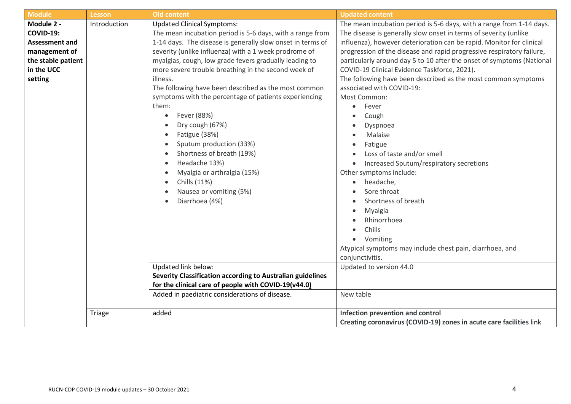| <b>Module</b>                                                                                                           | <b>Lesson</b> | <b>Old content</b>                                                                                                                                                                                                                                                                                                                                                                                                                                                                                                                                                                                                                                                                                   | <b>Updated content</b>                                                                                                                                                                                                                                                                                                                                                                                                                                                                                                                                                                                                                                                                                                                                                                          |
|-------------------------------------------------------------------------------------------------------------------------|---------------|------------------------------------------------------------------------------------------------------------------------------------------------------------------------------------------------------------------------------------------------------------------------------------------------------------------------------------------------------------------------------------------------------------------------------------------------------------------------------------------------------------------------------------------------------------------------------------------------------------------------------------------------------------------------------------------------------|-------------------------------------------------------------------------------------------------------------------------------------------------------------------------------------------------------------------------------------------------------------------------------------------------------------------------------------------------------------------------------------------------------------------------------------------------------------------------------------------------------------------------------------------------------------------------------------------------------------------------------------------------------------------------------------------------------------------------------------------------------------------------------------------------|
| Module 2 -<br><b>COVID-19:</b><br><b>Assessment and</b><br>management of<br>the stable patient<br>in the UCC<br>setting | Introduction  | <b>Updated Clinical Symptoms:</b><br>The mean incubation period is 5-6 days, with a range from<br>1-14 days. The disease is generally slow onset in terms of<br>severity (unlike influenza) with a 1 week prodrome of<br>myalgias, cough, low grade fevers gradually leading to<br>more severe trouble breathing in the second week of<br>illness.<br>The following have been described as the most common<br>symptoms with the percentage of patients experiencing<br>them:<br>Fever (88%)<br>Dry cough (67%)<br>Fatigue (38%)<br>Sputum production (33%)<br>Shortness of breath (19%)<br>Headache 13%)<br>Myalgia or arthralgia (15%)<br>Chills (11%)<br>Nausea or vomiting (5%)<br>Diarrhoea (4%) | The mean incubation period is 5-6 days, with a range from 1-14 days.<br>The disease is generally slow onset in terms of severity (unlike<br>influenza), however deterioration can be rapid. Monitor for clinical<br>progression of the disease and rapid progressive respiratory failure,<br>particularly around day 5 to 10 after the onset of symptoms (National<br>COVID-19 Clinical Evidence Taskforce, 2021).<br>The following have been described as the most common symptoms<br>associated with COVID-19:<br>Most Common:<br>Fever<br>$\bullet$<br>Cough<br>Dyspnoea<br>Malaise<br>Fatigue<br>Loss of taste and/or smell<br>Increased Sputum/respiratory secretions<br>Other symptoms include:<br>headache,<br>$\bullet$<br>Sore throat<br>Shortness of breath<br>Myalgia<br>Rhinorrhoea |
|                                                                                                                         |               | Updated link below:<br>Severity Classification according to Australian guidelines<br>for the clinical care of people with COVID-19(v44.0)                                                                                                                                                                                                                                                                                                                                                                                                                                                                                                                                                            | Chills<br>Vomiting<br>$\bullet$<br>Atypical symptoms may include chest pain, diarrhoea, and<br>conjunctivitis.<br>Updated to version 44.0                                                                                                                                                                                                                                                                                                                                                                                                                                                                                                                                                                                                                                                       |
|                                                                                                                         |               | Added in paediatric considerations of disease.                                                                                                                                                                                                                                                                                                                                                                                                                                                                                                                                                                                                                                                       | New table                                                                                                                                                                                                                                                                                                                                                                                                                                                                                                                                                                                                                                                                                                                                                                                       |
|                                                                                                                         | Triage        | added                                                                                                                                                                                                                                                                                                                                                                                                                                                                                                                                                                                                                                                                                                | Infection prevention and control<br>Creating coronavirus (COVID-19) zones in acute care facilities link                                                                                                                                                                                                                                                                                                                                                                                                                                                                                                                                                                                                                                                                                         |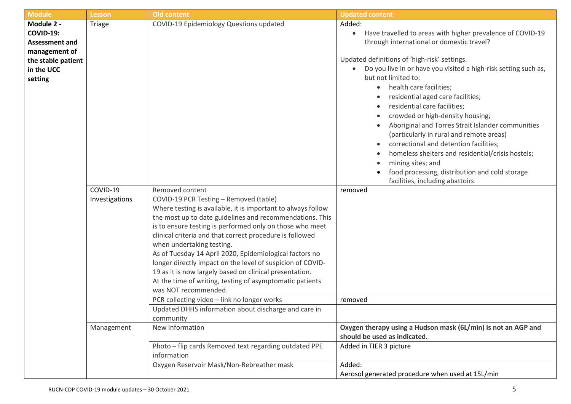| <b>Module</b>                                                                                                | <b>Lesson</b>              | <b>Old content</b>                                                                                                                                                                                                                                                                                                                                                                                                                                                                                                                                                                                                                                                | <b>Updated content</b>                                                                                                                                                                                                                                                                                                                                                                                                                                                                                                                                       |
|--------------------------------------------------------------------------------------------------------------|----------------------------|-------------------------------------------------------------------------------------------------------------------------------------------------------------------------------------------------------------------------------------------------------------------------------------------------------------------------------------------------------------------------------------------------------------------------------------------------------------------------------------------------------------------------------------------------------------------------------------------------------------------------------------------------------------------|--------------------------------------------------------------------------------------------------------------------------------------------------------------------------------------------------------------------------------------------------------------------------------------------------------------------------------------------------------------------------------------------------------------------------------------------------------------------------------------------------------------------------------------------------------------|
| Module 2 -<br><b>COVID-19:</b><br><b>Assessment and</b><br>management of<br>the stable patient<br>in the UCC | Triage                     | COVID-19 Epidemiology Questions updated                                                                                                                                                                                                                                                                                                                                                                                                                                                                                                                                                                                                                           | Added:<br>Have travelled to areas with higher prevalence of COVID-19<br>$\bullet$<br>through international or domestic travel?<br>Updated definitions of 'high-risk' settings.<br>Do you live in or have you visited a high-risk setting such as,<br>$\bullet$                                                                                                                                                                                                                                                                                               |
| setting                                                                                                      |                            |                                                                                                                                                                                                                                                                                                                                                                                                                                                                                                                                                                                                                                                                   | but not limited to:<br>health care facilities;<br>$\bullet$<br>residential aged care facilities;<br>$\bullet$<br>residential care facilities;<br>$\bullet$<br>crowded or high-density housing;<br>Aboriginal and Torres Strait Islander communities<br>$\bullet$<br>(particularly in rural and remote areas)<br>correctional and detention facilities;<br>$\bullet$<br>homeless shelters and residential/crisis hostels;<br>$\bullet$<br>mining sites; and<br>$\bullet$<br>food processing, distribution and cold storage<br>facilities, including abattoirs |
|                                                                                                              | COVID-19<br>Investigations | Removed content<br>COVID-19 PCR Testing - Removed (table)<br>Where testing is available, it is important to always follow<br>the most up to date guidelines and recommendations. This<br>is to ensure testing is performed only on those who meet<br>clinical criteria and that correct procedure is followed<br>when undertaking testing.<br>As of Tuesday 14 April 2020, Epidemiological factors no<br>longer directly impact on the level of suspicion of COVID-<br>19 as it is now largely based on clinical presentation.<br>At the time of writing, testing of asymptomatic patients<br>was NOT recommended.<br>PCR collecting video - link no longer works | removed<br>removed                                                                                                                                                                                                                                                                                                                                                                                                                                                                                                                                           |
|                                                                                                              | Management                 | Updated DHHS information about discharge and care in<br>community<br>New information<br>Photo - flip cards Removed text regarding outdated PPE<br>information                                                                                                                                                                                                                                                                                                                                                                                                                                                                                                     | Oxygen therapy using a Hudson mask (6L/min) is not an AGP and<br>should be used as indicated.<br>Added in TIER 3 picture                                                                                                                                                                                                                                                                                                                                                                                                                                     |
|                                                                                                              |                            | Oxygen Reservoir Mask/Non-Rebreather mask                                                                                                                                                                                                                                                                                                                                                                                                                                                                                                                                                                                                                         | Added:<br>Aerosol generated procedure when used at 15L/min                                                                                                                                                                                                                                                                                                                                                                                                                                                                                                   |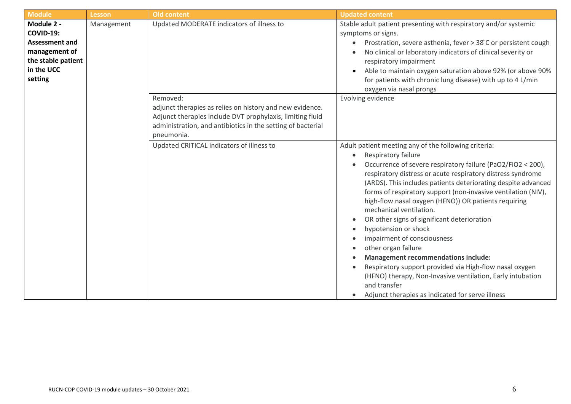| <b>Module</b>                                                                                                           | Lesson     | <b>Old content</b>                                                                                                                                                                                             | <b>Updated content</b>                                                                                                                                                                                                                                                                                                                                                                                                                                                                                                                                                                                                                                                                                                                                                                                                           |
|-------------------------------------------------------------------------------------------------------------------------|------------|----------------------------------------------------------------------------------------------------------------------------------------------------------------------------------------------------------------|----------------------------------------------------------------------------------------------------------------------------------------------------------------------------------------------------------------------------------------------------------------------------------------------------------------------------------------------------------------------------------------------------------------------------------------------------------------------------------------------------------------------------------------------------------------------------------------------------------------------------------------------------------------------------------------------------------------------------------------------------------------------------------------------------------------------------------|
| Module 2 -<br><b>COVID-19:</b><br><b>Assessment and</b><br>management of<br>the stable patient<br>in the UCC<br>setting | Management | Updated MODERATE indicators of illness to                                                                                                                                                                      | Stable adult patient presenting with respiratory and/or systemic<br>symptoms or signs.<br>Prostration, severe asthenia, fever > 38°C or persistent cough<br>No clinical or laboratory indicators of clinical severity or<br>respiratory impairment<br>Able to maintain oxygen saturation above 92% (or above 90%<br>for patients with chronic lung disease) with up to 4 L/min<br>oxygen via nasal prongs                                                                                                                                                                                                                                                                                                                                                                                                                        |
|                                                                                                                         |            | Removed:<br>adjunct therapies as relies on history and new evidence.<br>Adjunct therapies include DVT prophylaxis, limiting fluid<br>administration, and antibiotics in the setting of bacterial<br>pneumonia. | Evolving evidence                                                                                                                                                                                                                                                                                                                                                                                                                                                                                                                                                                                                                                                                                                                                                                                                                |
|                                                                                                                         |            | Updated CRITICAL indicators of illness to                                                                                                                                                                      | Adult patient meeting any of the following criteria:<br>Respiratory failure<br>$\bullet$<br>Occurrence of severe respiratory failure (PaO2/FiO2 < 200),<br>respiratory distress or acute respiratory distress syndrome<br>(ARDS). This includes patients deteriorating despite advanced<br>forms of respiratory support (non-invasive ventilation (NIV),<br>high-flow nasal oxygen (HFNO)) OR patients requiring<br>mechanical ventilation.<br>OR other signs of significant deterioration<br>hypotension or shock<br>impairment of consciousness<br>other organ failure<br><b>Management recommendations include:</b><br>Respiratory support provided via High-flow nasal oxygen<br>(HFNO) therapy, Non-Invasive ventilation, Early intubation<br>and transfer<br>Adjunct therapies as indicated for serve illness<br>$\bullet$ |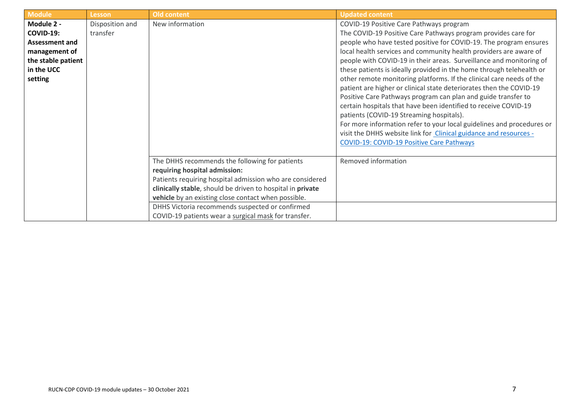| <b>Module</b>         | <b>Lesson</b>   | Old content                                                | <b>Updated content</b>                                                |
|-----------------------|-----------------|------------------------------------------------------------|-----------------------------------------------------------------------|
| Module 2 -            | Disposition and | New information                                            | COVID-19 Positive Care Pathways program                               |
| <b>COVID-19:</b>      | transfer        |                                                            | The COVID-19 Positive Care Pathways program provides care for         |
| <b>Assessment and</b> |                 |                                                            | people who have tested positive for COVID-19. The program ensures     |
| management of         |                 |                                                            | local health services and community health providers are aware of     |
| the stable patient    |                 |                                                            | people with COVID-19 in their areas. Surveillance and monitoring of   |
| in the UCC            |                 |                                                            | these patients is ideally provided in the home through telehealth or  |
| setting               |                 |                                                            | other remote monitoring platforms. If the clinical care needs of the  |
|                       |                 |                                                            | patient are higher or clinical state deteriorates then the COVID-19   |
|                       |                 |                                                            | Positive Care Pathways program can plan and guide transfer to         |
|                       |                 |                                                            | certain hospitals that have been identified to receive COVID-19       |
|                       |                 |                                                            | patients (COVID-19 Streaming hospitals).                              |
|                       |                 |                                                            | For more information refer to your local guidelines and procedures or |
|                       |                 |                                                            | visit the DHHS website link for Clinical guidance and resources -     |
|                       |                 |                                                            | <b>COVID-19: COVID-19 Positive Care Pathways</b>                      |
|                       |                 |                                                            |                                                                       |
|                       |                 | The DHHS recommends the following for patients             | Removed information                                                   |
|                       |                 | requiring hospital admission:                              |                                                                       |
|                       |                 | Patients requiring hospital admission who are considered   |                                                                       |
|                       |                 | clinically stable, should be driven to hospital in private |                                                                       |
|                       |                 | vehicle by an existing close contact when possible.        |                                                                       |
|                       |                 | DHHS Victoria recommends suspected or confirmed            |                                                                       |
|                       |                 | COVID-19 patients wear a surgical mask for transfer.       |                                                                       |